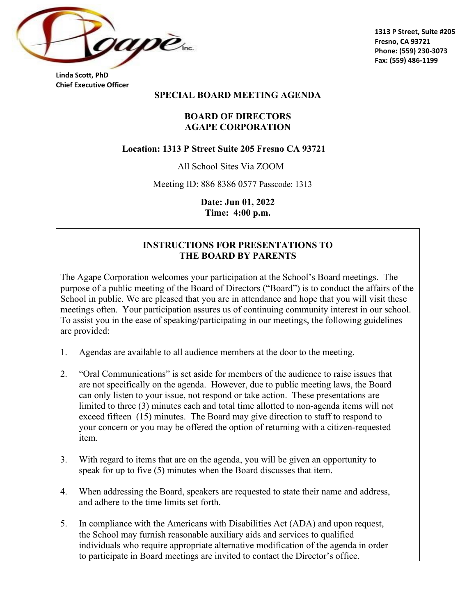

**1313 P Street, Suite #205 Fresno, CA 93721 Phone: (559) 230-3073 Fax: (559) 486-1199**

**Linda Scott, PhD Chief Executive Officer** 

#### **SPECIAL BOARD MEETING AGENDA**

#### **BOARD OF DIRECTORS AGAPE CORPORATION**

#### **Location: 1313 P Street Suite 205 Fresno CA 93721**

All School Sites Via ZOOM

Meeting ID: 886 8386 0577 Passcode: 1313

**Date: Jun 01, 2022 Time: 4:00 p.m.**

#### **INSTRUCTIONS FOR PRESENTATIONS TO THE BOARD BY PARENTS**

The Agape Corporation welcomes your participation at the School's Board meetings. The purpose of a public meeting of the Board of Directors ("Board") is to conduct the affairs of the School in public. We are pleased that you are in attendance and hope that you will visit these meetings often. Your participation assures us of continuing community interest in our school. To assist you in the ease of speaking/participating in our meetings, the following guidelines are provided:

- 1. Agendas are available to all audience members at the door to the meeting.
- 2. "Oral Communications" is set aside for members of the audience to raise issues that are not specifically on the agenda. However, due to public meeting laws, the Board can only listen to your issue, not respond or take action. These presentations are limited to three (3) minutes each and total time allotted to non-agenda items will not exceed fifteen (15) minutes. The Board may give direction to staff to respond to your concern or you may be offered the option of returning with a citizen-requested item.
- 3. With regard to items that are on the agenda, you will be given an opportunity to speak for up to five (5) minutes when the Board discusses that item.
- 4. When addressing the Board, speakers are requested to state their name and address, and adhere to the time limits set forth.
- 5. In compliance with the Americans with Disabilities Act (ADA) and upon request, the School may furnish reasonable auxiliary aids and services to qualified individuals who require appropriate alternative modification of the agenda in order to participate in Board meetings are invited to contact the Director's office.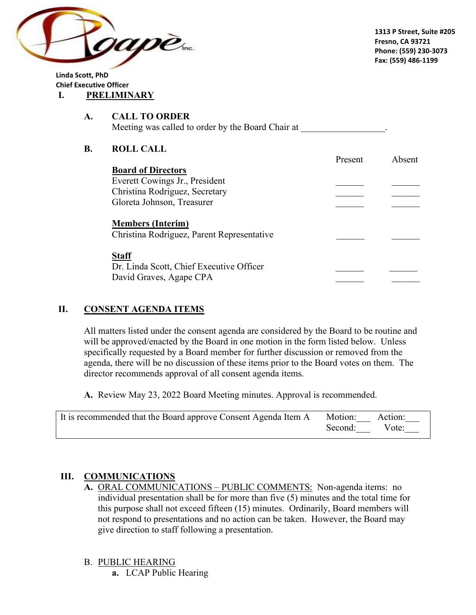

**Linda Scott, PhD Chief Executive Officer I. PRELIMINARY**

#### **A. CALL TO ORDER** Meeting was called to order by the Board Chair at

## **B. ROLL CALL**

|                                                                     | Present | Absent |
|---------------------------------------------------------------------|---------|--------|
| <b>Board of Directors</b>                                           |         |        |
| Everett Cowings Jr., President                                      |         |        |
| Christina Rodriguez, Secretary                                      |         |        |
| Gloreta Johnson, Treasurer                                          |         |        |
| <b>Members (Interim)</b>                                            |         |        |
| Christina Rodriguez, Parent Representative                          |         |        |
| <b>Staff</b>                                                        |         |        |
| Dr. Linda Scott, Chief Executive Officer<br>David Graves, Agape CPA |         |        |
|                                                                     |         |        |

# **II. CONSENT AGENDA ITEMS**

All matters listed under the consent agenda are considered by the Board to be routine and will be approved/enacted by the Board in one motion in the form listed below. Unless specifically requested by a Board member for further discussion or removed from the agenda, there will be no discussion of these items prior to the Board votes on them. The director recommends approval of all consent agenda items.

**A.** Review May 23, 2022 Board Meeting minutes. Approval is recommended.

| It is recommended that the Board approve Consent Agenda Item A | Motion: Action: |  |
|----------------------------------------------------------------|-----------------|--|
|                                                                | Second: Vote:   |  |

## **III. COMMUNICATIONS**

**A.** ORAL COMMUNICATIONS – PUBLIC COMMENTS: Non-agenda items: no individual presentation shall be for more than five (5) minutes and the total time for this purpose shall not exceed fifteen (15) minutes. Ordinarily, Board members will not respond to presentations and no action can be taken. However, the Board may give direction to staff following a presentation.

## B. PUBLIC HEARING

**a.** LCAP Public Hearing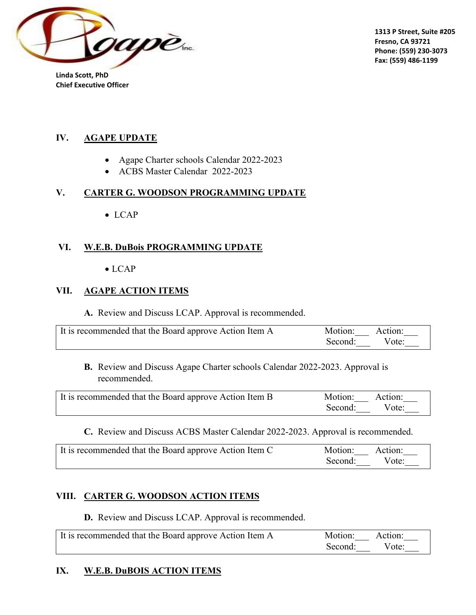

**1313 P Street, Suite #205 Fresno, CA 93721 Phone: (559) 230-3073 Fax: (559) 486-1199**

**Linda Scott, PhD Chief Executive Officer** 

#### **IV. AGAPE UPDATE**

- Agape Charter schools Calendar 2022-2023
- ACBS Master Calendar 2022-2023

## **V. CARTER G. WOODSON PROGRAMMING UPDATE**

• LCAP

## **VI. W.E.B. DuBois PROGRAMMING UPDATE**

• LCAP

### **VII. AGAPE ACTION ITEMS**

**A.** Review and Discuss LCAP. Approval is recommended.

| It is recommended that the Board approve Action Item A | Motion: Action: |  |
|--------------------------------------------------------|-----------------|--|
|                                                        | Second: Vote:   |  |

#### **B.** Review and Discuss Agape Charter schools Calendar 2022-2023. Approval is recommended.

| It is recommended that the Board approve Action Item B | Motion: Action: |  |
|--------------------------------------------------------|-----------------|--|
|                                                        | Second: Vote:   |  |

#### **C.** Review and Discuss ACBS Master Calendar 2022-2023. Approval is recommended.

| It is recommended that the Board approve Action Item C | Motion: Action: |  |
|--------------------------------------------------------|-----------------|--|
|                                                        | Second: Vote:   |  |

## **VIII. CARTER G. WOODSON ACTION ITEMS**

**D.** Review and Discuss LCAP. Approval is recommended.

| It is recommended that the Board approve Action Item A | Motion: Action: |  |
|--------------------------------------------------------|-----------------|--|
|                                                        | Second: Vote:   |  |

## **IX. W.E.B. DuBOIS ACTION ITEMS**